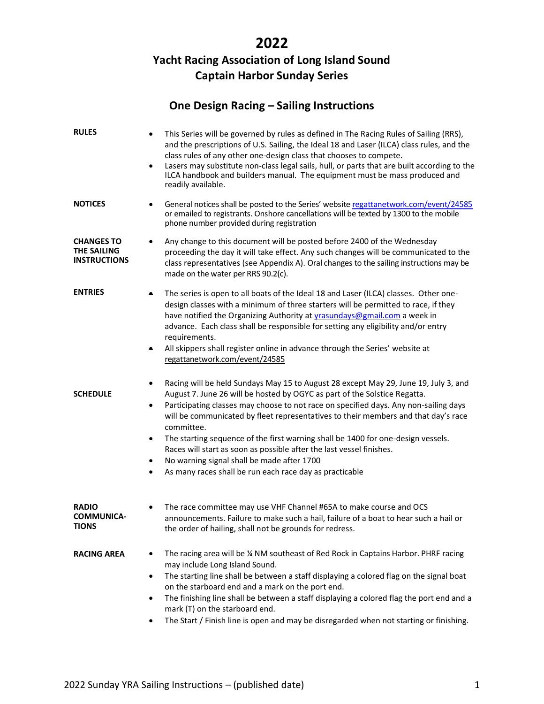# **2022**

# **Yacht Racing Association of Long Island Sound Captain Harbor Sunday Series**

# **One Design Racing – Sailing Instructions**

| <b>RULES</b>                                                   | This Series will be governed by rules as defined in The Racing Rules of Sailing (RRS),<br>$\bullet$<br>and the prescriptions of U.S. Sailing, the Ideal 18 and Laser (ILCA) class rules, and the<br>class rules of any other one-design class that chooses to compete.<br>Lasers may substitute non-class legal sails, hull, or parts that are built according to the<br>$\bullet$<br>ILCA handbook and builders manual. The equipment must be mass produced and<br>readily available.                                                                                                                                                                        |  |  |  |
|----------------------------------------------------------------|---------------------------------------------------------------------------------------------------------------------------------------------------------------------------------------------------------------------------------------------------------------------------------------------------------------------------------------------------------------------------------------------------------------------------------------------------------------------------------------------------------------------------------------------------------------------------------------------------------------------------------------------------------------|--|--|--|
| <b>NOTICES</b>                                                 | General notices shall be posted to the Series' website regattanetwork.com/event/24585<br>٠<br>or emailed to registrants. Onshore cancellations will be texted by 1300 to the mobile<br>phone number provided during registration                                                                                                                                                                                                                                                                                                                                                                                                                              |  |  |  |
| <b>CHANGES TO</b><br><b>THE SAILING</b><br><b>INSTRUCTIONS</b> | Any change to this document will be posted before 2400 of the Wednesday<br>proceeding the day it will take effect. Any such changes will be communicated to the<br>class representatives (see Appendix A). Oral changes to the sailing instructions may be<br>made on the water per RRS 90.2(c).                                                                                                                                                                                                                                                                                                                                                              |  |  |  |
| <b>ENTRIES</b>                                                 | The series is open to all boats of the Ideal 18 and Laser (ILCA) classes. Other one-<br>design classes with a minimum of three starters will be permitted to race, if they<br>have notified the Organizing Authority at <i>yrasundays@gmail.com</i> a week in<br>advance. Each class shall be responsible for setting any eligibility and/or entry<br>requirements.<br>All skippers shall register online in advance through the Series' website at<br>٠<br>regattanetwork.com/event/24585                                                                                                                                                                    |  |  |  |
| <b>SCHEDULE</b>                                                | Racing will be held Sundays May 15 to August 28 except May 29, June 19, July 3, and<br>$\bullet$<br>August 7. June 26 will be hosted by OGYC as part of the Solstice Regatta.<br>Participating classes may choose to not race on specified days. Any non-sailing days<br>٠<br>will be communicated by fleet representatives to their members and that day's race<br>committee.<br>The starting sequence of the first warning shall be 1400 for one-design vessels.<br>٠<br>Races will start as soon as possible after the last vessel finishes.<br>No warning signal shall be made after 1700<br>As many races shall be run each race day as practicable<br>٠ |  |  |  |
| <b>RADIO</b><br><b>COMMUNICA-</b><br>TIONS                     | The race committee may use VHF Channel #65A to make course and OCS<br>٠<br>announcements. Failure to make such a hail, failure of a boat to hear such a hail or<br>the order of hailing, shall not be grounds for redress.                                                                                                                                                                                                                                                                                                                                                                                                                                    |  |  |  |
| <b>RACING AREA</b>                                             | The racing area will be 1/4 NM southeast of Red Rock in Captains Harbor. PHRF racing<br>$\bullet$<br>may include Long Island Sound.<br>The starting line shall be between a staff displaying a colored flag on the signal boat<br>٠<br>on the starboard end and a mark on the port end.<br>The finishing line shall be between a staff displaying a colored flag the port end and a<br>$\bullet$<br>mark (T) on the starboard end.<br>The Start / Finish line is open and may be disregarded when not starting or finishing.<br>$\bullet$                                                                                                                     |  |  |  |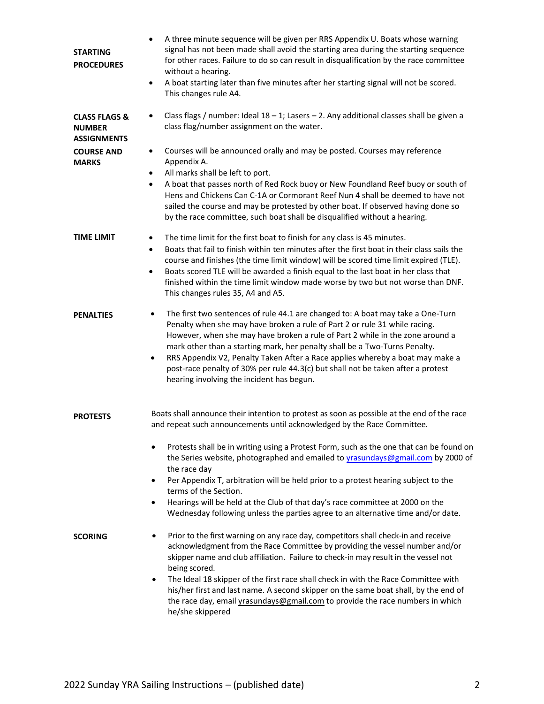| <b>STARTING</b><br><b>PROCEDURES</b>                            | A three minute sequence will be given per RRS Appendix U. Boats whose warning<br>٠<br>signal has not been made shall avoid the starting area during the starting sequence<br>for other races. Failure to do so can result in disqualification by the race committee<br>without a hearing.<br>A boat starting later than five minutes after her starting signal will not be scored.<br>$\bullet$<br>This changes rule A4.                                                                                                                                 |  |  |  |
|-----------------------------------------------------------------|----------------------------------------------------------------------------------------------------------------------------------------------------------------------------------------------------------------------------------------------------------------------------------------------------------------------------------------------------------------------------------------------------------------------------------------------------------------------------------------------------------------------------------------------------------|--|--|--|
| <b>CLASS FLAGS &amp;</b><br><b>NUMBER</b><br><b>ASSIGNMENTS</b> | Class flags / number: Ideal $18 - 1$ ; Lasers $- 2$ . Any additional classes shall be given a<br>$\bullet$<br>class flag/number assignment on the water.                                                                                                                                                                                                                                                                                                                                                                                                 |  |  |  |
| <b>COURSE AND</b><br><b>MARKS</b>                               | Courses will be announced orally and may be posted. Courses may reference<br>Appendix A.<br>All marks shall be left to port.<br>A boat that passes north of Red Rock buoy or New Foundland Reef buoy or south of<br>Hens and Chickens Can C-1A or Cormorant Reef Nun 4 shall be deemed to have not<br>sailed the course and may be protested by other boat. If observed having done so<br>by the race committee, such boat shall be disqualified without a hearing.                                                                                      |  |  |  |
| <b>TIME LIMIT</b>                                               | The time limit for the first boat to finish for any class is 45 minutes.<br>$\bullet$<br>Boats that fail to finish within ten minutes after the first boat in their class sails the<br>$\bullet$<br>course and finishes (the time limit window) will be scored time limit expired (TLE).<br>Boats scored TLE will be awarded a finish equal to the last boat in her class that<br>$\bullet$<br>finished within the time limit window made worse by two but not worse than DNF.<br>This changes rules 35, A4 and A5.                                      |  |  |  |
| <b>PENALTIES</b>                                                | The first two sentences of rule 44.1 are changed to: A boat may take a One-Turn<br>٠<br>Penalty when she may have broken a rule of Part 2 or rule 31 while racing.<br>However, when she may have broken a rule of Part 2 while in the zone around a<br>mark other than a starting mark, her penalty shall be a Two-Turns Penalty.<br>RRS Appendix V2, Penalty Taken After a Race applies whereby a boat may make a<br>٠<br>post-race penalty of 30% per rule 44.3(c) but shall not be taken after a protest<br>hearing involving the incident has begun. |  |  |  |
| <b>PROTESTS</b>                                                 | Boats shall announce their intention to protest as soon as possible at the end of the race<br>and repeat such announcements until acknowledged by the Race Committee.<br>Protests shall be in writing using a Protest Form, such as the one that can be found on<br>the Series website, photographed and emailed to yrasundays@gmail.com by 2000 of                                                                                                                                                                                                      |  |  |  |
|                                                                 | the race day<br>Per Appendix T, arbitration will be held prior to a protest hearing subject to the<br>$\bullet$<br>terms of the Section.<br>Hearings will be held at the Club of that day's race committee at 2000 on the<br>$\bullet$<br>Wednesday following unless the parties agree to an alternative time and/or date.                                                                                                                                                                                                                               |  |  |  |
| <b>SCORING</b>                                                  | Prior to the first warning on any race day, competitors shall check-in and receive<br>٠<br>acknowledgment from the Race Committee by providing the vessel number and/or<br>skipper name and club affiliation. Failure to check-in may result in the vessel not<br>being scored.<br>The Ideal 18 skipper of the first race shall check in with the Race Committee with<br>his/her first and last name. A second skipper on the same boat shall, by the end of                                                                                             |  |  |  |
|                                                                 | the race day, email yrasundays@gmail.com to provide the race numbers in which<br>he/she skippered                                                                                                                                                                                                                                                                                                                                                                                                                                                        |  |  |  |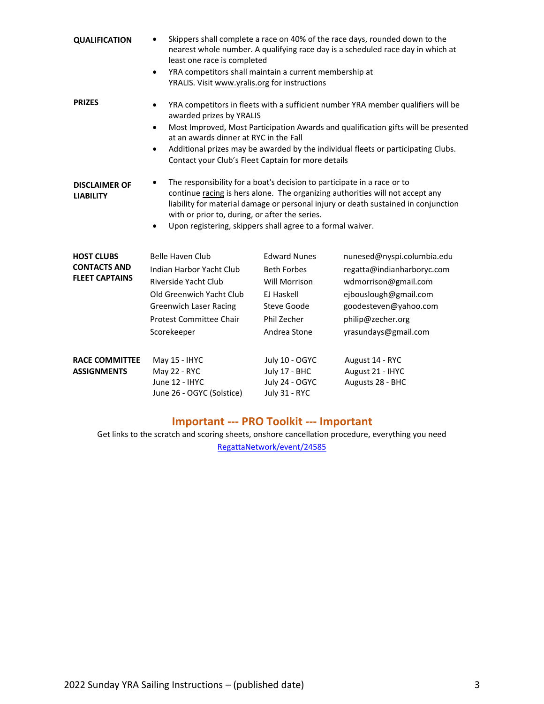| <b>QUALIFICATION</b>                                              | Skippers shall complete a race on 40% of the race days, rounded down to the<br>nearest whole number. A qualifying race day is a scheduled race day in which at<br>least one race is completed<br>YRA competitors shall maintain a current membership at<br>$\bullet$<br>YRALIS. Visit www.yralis.org for instructions                                                                                                  |                                                                                                                                      |                                                                                                                                                                                 |  |
|-------------------------------------------------------------------|------------------------------------------------------------------------------------------------------------------------------------------------------------------------------------------------------------------------------------------------------------------------------------------------------------------------------------------------------------------------------------------------------------------------|--------------------------------------------------------------------------------------------------------------------------------------|---------------------------------------------------------------------------------------------------------------------------------------------------------------------------------|--|
| <b>PRIZES</b>                                                     | YRA competitors in fleets with a sufficient number YRA member qualifiers will be<br>٠<br>awarded prizes by YRALIS<br>Most Improved, Most Participation Awards and qualification gifts will be presented<br>$\bullet$<br>at an awards dinner at RYC in the Fall<br>Additional prizes may be awarded by the individual fleets or participating Clubs.<br>$\bullet$<br>Contact your Club's Fleet Captain for more details |                                                                                                                                      |                                                                                                                                                                                 |  |
| <b>DISCLAIMER OF</b><br><b>LIABILITY</b>                          | The responsibility for a boat's decision to participate in a race or to<br>continue racing is hers alone. The organizing authorities will not accept any<br>liability for material damage or personal injury or death sustained in conjunction<br>with or prior to, during, or after the series.<br>Upon registering, skippers shall agree to a formal waiver.<br>٠                                                    |                                                                                                                                      |                                                                                                                                                                                 |  |
| <b>HOST CLUBS</b><br><b>CONTACTS AND</b><br><b>FLEET CAPTAINS</b> | <b>Belle Haven Club</b><br>Indian Harbor Yacht Club<br>Riverside Yacht Club<br>Old Greenwich Yacht Club<br><b>Greenwich Laser Racing</b><br><b>Protest Committee Chair</b><br>Scorekeeper                                                                                                                                                                                                                              | <b>Edward Nunes</b><br><b>Beth Forbes</b><br><b>Will Morrison</b><br>EJ Haskell<br><b>Steve Goode</b><br>Phil Zecher<br>Andrea Stone | nunesed@nyspi.columbia.edu<br>regatta@indianharboryc.com<br>wdmorrison@gmail.com<br>ejbouslough@gmail.com<br>goodesteven@yahoo.com<br>philip@zecher.org<br>yrasundays@gmail.com |  |
| <b>RACE COMMITTEE</b><br><b>ASSIGNMENTS</b>                       | May 15 - IHYC<br>May 22 - RYC<br>June 12 - IHYC<br>June 26 - OGYC (Solstice)                                                                                                                                                                                                                                                                                                                                           | July 10 - OGYC<br>July 17 - BHC<br>July 24 - OGYC<br>July 31 - RYC                                                                   | August 14 - RYC<br>August 21 - IHYC<br>Augusts 28 - BHC                                                                                                                         |  |

### **Important --- PRO Toolkit --- Important**

Get links to the scratch and scoring sheets, onshore cancellation procedure, everything you need [RegattaNetwork/event/24585](http://regattanetwork.com/event/24585)